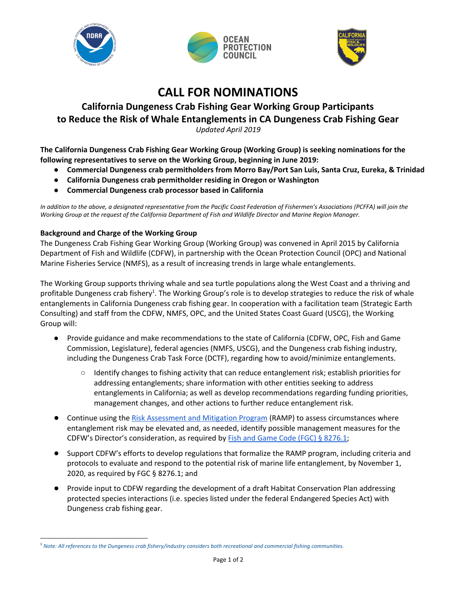





## **CALL FOR NOMINATIONS**

# **California Dungeness Crab Fishing Gear Working Group Participants to Reduce the Risk of Whale Entanglements in CA Dungeness Crab Fishing Gear**

*Updated April 2019* 

 **The California Dungeness Crab Fishing Gear Working Group (Working Group) is seeking nominations for the following representatives to serve on the Working Group, beginning in June 2019:** 

- **● Commercial Dungeness crab permitholders from Morro Bay/Port San Luis, Santa Cruz, Eureka, & Trinidad**
- **● California Dungeness crab permitholder residing in Oregon or Washington**
- **● Commercial Dungeness crab processor based in California**

*In addition to the above, a designated representative from the Pacific Coast Federation of Fishermen's Associations (PCFFA) will join the Working Group at the request of the California Department of Fish and Wildlife Director and Marine Region Manager.* 

### **Background and Charge of the Working Group**

 The Dungeness Crab Fishing Gear Working Group (Working Group) was convened in April 2015 by California Department of Fish and Wildlife (CDFW), in partnership with the Ocean Protection Council (OPC) and National Marine Fisheries Service (NMFS), as a result of increasing trends in large whale entanglements.

The Working Group supports thriving whale and sea turtle populations along the West Coast and a thriving and profitable Dungeness crab fishery<sup>1</sup>. The Working Group's role is to develop strategies to reduce the risk of whale entanglements in California Dungeness crab fishing gear. In cooperation with a facilitation team (Strategic Earth Consulting) and staff from the CDFW, NMFS, OPC, and the United States Coast Guard (USCG), the Working Group will:

- ● Provide guidance and make recommendations to the state of California (CDFW, OPC, Fish and Game Commission, Legislature), federal agencies (NMFS, USCG), and the Dungeness crab fishing industry, including the Dungeness Crab Task Force (DCTF), regarding how to avoid/minimize entanglements.
	- ○ Identify changes to fishing activity that can reduce entanglement risk; establish priorities for addressing entanglements; share information with other entities seeking to address entanglements in California; as well as develop recommendations regarding funding priorities, management changes, and other actions to further reduce entanglement risk.
- Continue using the [Risk Assessment and Mitigation Program](http://www.opc.ca.gov/risk-assessment-and-mitigation-program-ramp/) (RAMP) to assess circumstances where entanglement risk may be elevated and, as needed, identify possible management measures for the CDFW's Director's consideration, as required by **Fish and Game Code (FGC)** § 8276.1;
- ● Support CDFW's efforts to develop regulations that formalize the RAMP program, including criteria and protocols to evaluate and respond to the potential risk of marine life entanglement, by November 1, 2020, as required by FGC § 8276.1; and
- ● Provide input to CDFW regarding the development of a draft Habitat Conservation Plan addressing protected species interactions (i.e. species listed under the federal Endangered Species Act) with Dungeness crab fishing gear.

 <sup>1</sup>*Note: All references to the Dungeness crab fishery/industry considers both recreational and commercial fishing communities.*